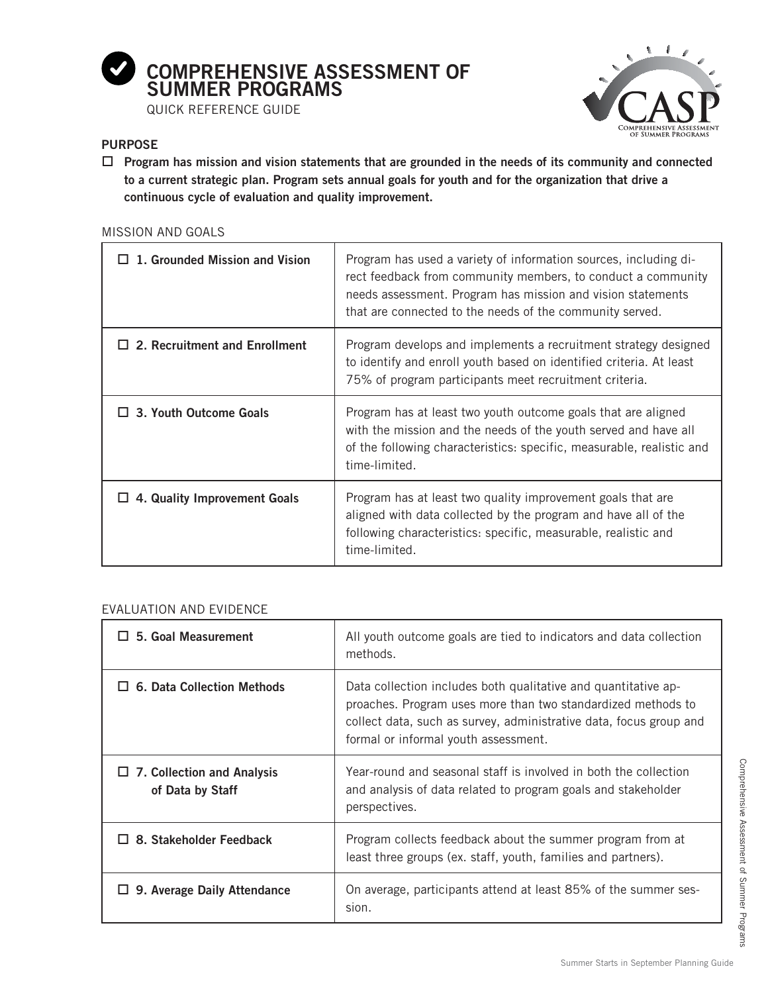

QUICK REFERENCE GUIDE



### **PURPOSE**

-**Program has mission and vision statements that are grounded in the needs of its community and connected to a current strategic plan. Program sets annual goals for youth and for the organization that drive a continuous cycle of evaluation and quality improvement.**

#### MISSION AND GOALS

| 1. Grounded Mission and Vision       | Program has used a variety of information sources, including di-<br>rect feedback from community members, to conduct a community<br>needs assessment. Program has mission and vision statements<br>that are connected to the needs of the community served. |
|--------------------------------------|-------------------------------------------------------------------------------------------------------------------------------------------------------------------------------------------------------------------------------------------------------------|
| $\Box$ 2. Recruitment and Enrollment | Program develops and implements a recruitment strategy designed<br>to identify and enroll youth based on identified criteria. At least<br>75% of program participants meet recruitment criteria.                                                            |
| $\Box$ 3. Youth Outcome Goals        | Program has at least two youth outcome goals that are aligned<br>with the mission and the needs of the youth served and have all<br>of the following characteristics: specific, measurable, realistic and<br>time-limited.                                  |
| $\Box$ 4. Quality Improvement Goals  | Program has at least two quality improvement goals that are<br>aligned with data collected by the program and have all of the<br>following characteristics: specific, measurable, realistic and<br>time-limited.                                            |

#### EVALUATION AND EVIDENCE

| $\Box$ 5. Goal Measurement                            | All youth outcome goals are tied to indicators and data collection<br>methods.                                                                                                                                                               |
|-------------------------------------------------------|----------------------------------------------------------------------------------------------------------------------------------------------------------------------------------------------------------------------------------------------|
| <b>6. Data Collection Methods</b>                     | Data collection includes both qualitative and quantitative ap-<br>proaches. Program uses more than two standardized methods to<br>collect data, such as survey, administrative data, focus group and<br>formal or informal youth assessment. |
| $\Box$ 7. Collection and Analysis<br>of Data by Staff | Year-round and seasonal staff is involved in both the collection<br>and analysis of data related to program goals and stakeholder<br>perspectives.                                                                                           |
| 8. Stakeholder Feedback                               | Program collects feedback about the summer program from at<br>least three groups (ex. staff, youth, families and partners).                                                                                                                  |
| 9. Average Daily Attendance                           | On average, participants attend at least 85% of the summer ses-<br>sion.                                                                                                                                                                     |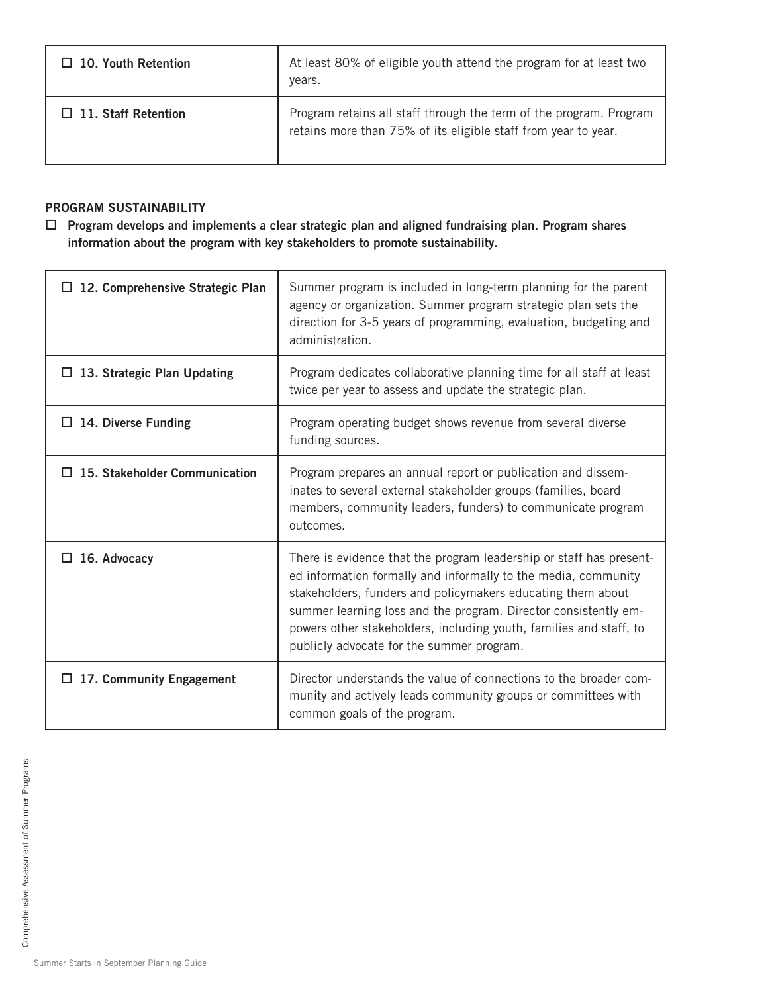| 10. Youth Retention        | At least 80% of eligible youth attend the program for at least two                                                                   |
|----------------------------|--------------------------------------------------------------------------------------------------------------------------------------|
| l I                        | years.                                                                                                                               |
| $\Box$ 11. Staff Retention | Program retains all staff through the term of the program. Program<br>retains more than 75% of its eligible staff from year to year. |

# **PROGRAM SUSTAINABILITY**

□ Program develops and implements a clear strategic plan and aligned fundraising plan. Program shares **information about the program with key stakeholders to promote sustainability.** 

| $\Box$ 12. Comprehensive Strategic Plan | Summer program is included in long-term planning for the parent<br>agency or organization. Summer program strategic plan sets the<br>direction for 3-5 years of programming, evaluation, budgeting and<br>administration.                                                                                                                                                                  |
|-----------------------------------------|--------------------------------------------------------------------------------------------------------------------------------------------------------------------------------------------------------------------------------------------------------------------------------------------------------------------------------------------------------------------------------------------|
| $\Box$ 13. Strategic Plan Updating      | Program dedicates collaborative planning time for all staff at least<br>twice per year to assess and update the strategic plan.                                                                                                                                                                                                                                                            |
| $\Box$ 14. Diverse Funding              | Program operating budget shows revenue from several diverse<br>funding sources.                                                                                                                                                                                                                                                                                                            |
| $\Box$ 15. Stakeholder Communication    | Program prepares an annual report or publication and dissem-<br>inates to several external stakeholder groups (families, board<br>members, community leaders, funders) to communicate program<br>outcomes.                                                                                                                                                                                 |
| $\Box$ 16. Advocacy                     | There is evidence that the program leadership or staff has present-<br>ed information formally and informally to the media, community<br>stakeholders, funders and policymakers educating them about<br>summer learning loss and the program. Director consistently em-<br>powers other stakeholders, including youth, families and staff, to<br>publicly advocate for the summer program. |
| $\Box$ 17. Community Engagement         | Director understands the value of connections to the broader com-<br>munity and actively leads community groups or committees with<br>common goals of the program.                                                                                                                                                                                                                         |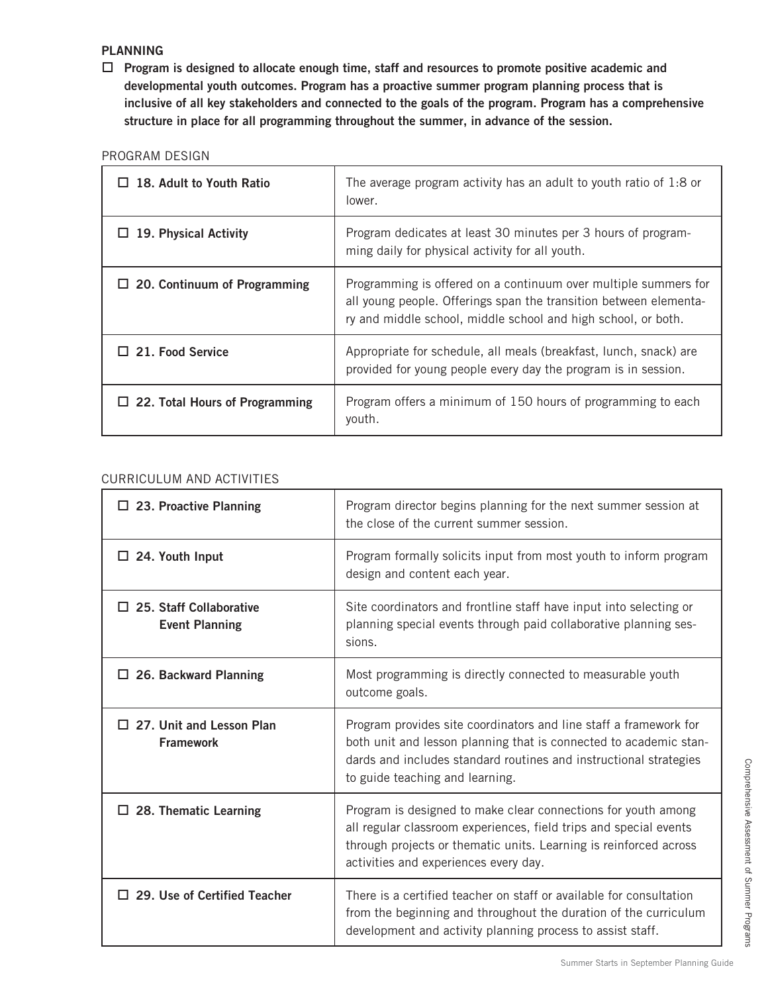### **PLANNING**

□ Program is designed to allocate enough time, staff and resources to promote positive academic and **developmental youth outcomes. Program has a proactive summer program planning process that is inclusive of all key stakeholders and connected to the goals of the program. Program has a comprehensive structure in place for all programming throughout the summer, in advance of the session.** 

#### PROGRAM DESIGN

| 18. Adult to Youth Ratio              | The average program activity has an adult to youth ratio of $1.8$ or<br>lower.                                                                                                                        |
|---------------------------------------|-------------------------------------------------------------------------------------------------------------------------------------------------------------------------------------------------------|
| 19. Physical Activity                 | Program dedicates at least 30 minutes per 3 hours of program-<br>ming daily for physical activity for all youth.                                                                                      |
| $\Box$ 20. Continuum of Programming   | Programming is offered on a continuum over multiple summers for<br>all young people. Offerings span the transition between elementa-<br>ry and middle school, middle school and high school, or both. |
| $\Box$ 21. Food Service               | Appropriate for schedule, all meals (breakfast, lunch, snack) are<br>provided for young people every day the program is in session.                                                                   |
| $\Box$ 22. Total Hours of Programming | Program offers a minimum of 150 hours of programming to each<br>youth.                                                                                                                                |

### CURRICULUM AND ACTIVITIES

| $\Box$ 23. Proactive Planning                           | Program director begins planning for the next summer session at<br>the close of the current summer session.                                                                                                                                      |
|---------------------------------------------------------|--------------------------------------------------------------------------------------------------------------------------------------------------------------------------------------------------------------------------------------------------|
| $\Box$ 24. Youth Input                                  | Program formally solicits input from most youth to inform program<br>design and content each year.                                                                                                                                               |
| $\Box$ 25. Staff Collaborative<br><b>Event Planning</b> | Site coordinators and frontline staff have input into selecting or<br>planning special events through paid collaborative planning ses-<br>sions.                                                                                                 |
| $\Box$ 26. Backward Planning                            | Most programming is directly connected to measurable youth<br>outcome goals.                                                                                                                                                                     |
| $\Box$ 27. Unit and Lesson Plan<br><b>Framework</b>     | Program provides site coordinators and line staff a framework for<br>both unit and lesson planning that is connected to academic stan-<br>dards and includes standard routines and instructional strategies<br>to guide teaching and learning.   |
| $\Box$ 28. Thematic Learning                            | Program is designed to make clear connections for youth among<br>all regular classroom experiences, field trips and special events<br>through projects or thematic units. Learning is reinforced across<br>activities and experiences every day. |
| $\Box$ 29. Use of Certified Teacher                     | There is a certified teacher on staff or available for consultation<br>from the beginning and throughout the duration of the curriculum<br>development and activity planning process to assist staff.                                            |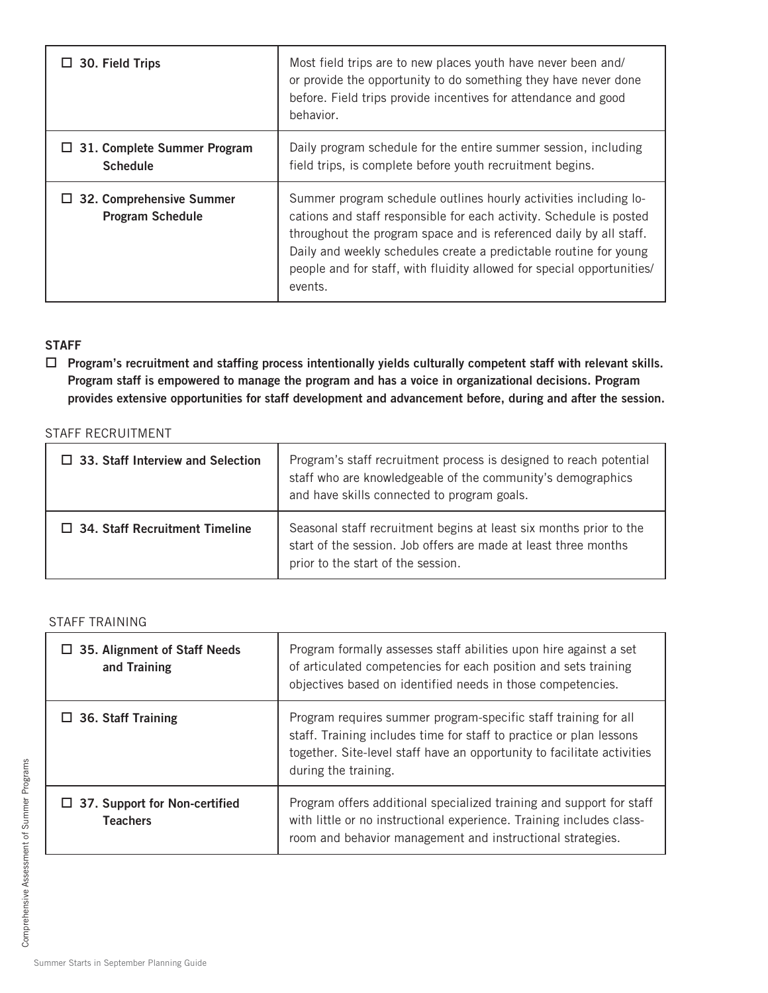| $\Box$ 30. Field Trips                                     | Most field trips are to new places youth have never been and/<br>or provide the opportunity to do something they have never done<br>before. Field trips provide incentives for attendance and good<br>behavior.                                                                                                                                                         |
|------------------------------------------------------------|-------------------------------------------------------------------------------------------------------------------------------------------------------------------------------------------------------------------------------------------------------------------------------------------------------------------------------------------------------------------------|
| $\Box$ 31. Complete Summer Program<br><b>Schedule</b>      | Daily program schedule for the entire summer session, including<br>field trips, is complete before youth recruitment begins.                                                                                                                                                                                                                                            |
| $\Box$ 32. Comprehensive Summer<br><b>Program Schedule</b> | Summer program schedule outlines hourly activities including lo-<br>cations and staff responsible for each activity. Schedule is posted<br>throughout the program space and is referenced daily by all staff.<br>Daily and weekly schedules create a predictable routine for young<br>people and for staff, with fluidity allowed for special opportunities/<br>events. |

# **STAFF**

□ Program's recruitment and staffing process intentionally yields culturally competent staff with relevant skills. **Program staff is empowered to manage the program and has a voice in organizational decisions. Program provides extensive opportunities for staff development and advancement before, during and after the session.** 

### STAFF RECRUITMENT

| $\Box$ 33. Staff Interview and Selection | Program's staff recruitment process is designed to reach potential<br>staff who are knowledgeable of the community's demographics<br>and have skills connected to program goals. |
|------------------------------------------|----------------------------------------------------------------------------------------------------------------------------------------------------------------------------------|
| $\Box$ 34. Staff Recruitment Timeline    | Seasonal staff recruitment begins at least six months prior to the<br>start of the session. Job offers are made at least three months<br>prior to the start of the session.      |

#### STAFF TRAINING

| $\Box$ 35. Alignment of Staff Needs<br>and Training     | Program formally assesses staff abilities upon hire against a set<br>of articulated competencies for each position and sets training<br>objectives based on identified needs in those competencies.                                       |
|---------------------------------------------------------|-------------------------------------------------------------------------------------------------------------------------------------------------------------------------------------------------------------------------------------------|
| $\Box$ 36. Staff Training                               | Program requires summer program-specific staff training for all<br>staff. Training includes time for staff to practice or plan lessons<br>together. Site-level staff have an opportunity to facilitate activities<br>during the training. |
| $\Box$ 37. Support for Non-certified<br><b>Teachers</b> | Program offers additional specialized training and support for staff<br>with little or no instructional experience. Training includes class-<br>room and behavior management and instructional strategies.                                |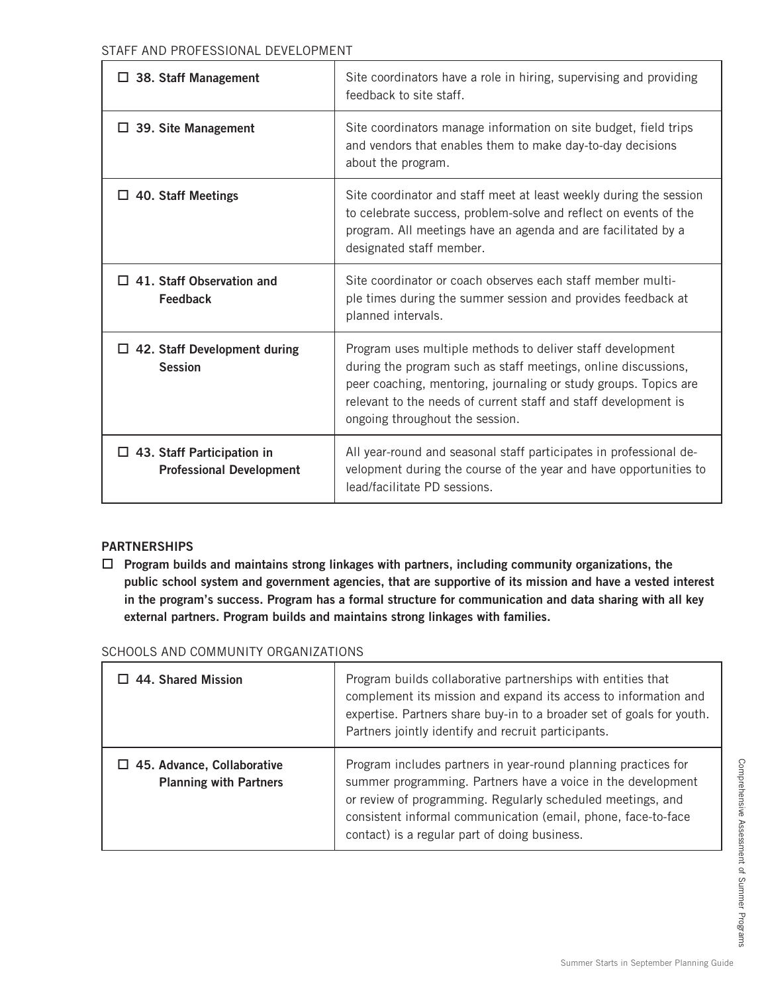| $\Box$ 38. Staff Management                                          | Site coordinators have a role in hiring, supervising and providing<br>feedback to site staff.                                                                                                                                                                                                          |
|----------------------------------------------------------------------|--------------------------------------------------------------------------------------------------------------------------------------------------------------------------------------------------------------------------------------------------------------------------------------------------------|
| $\Box$ 39. Site Management                                           | Site coordinators manage information on site budget, field trips<br>and vendors that enables them to make day-to-day decisions<br>about the program.                                                                                                                                                   |
| $\Box$ 40. Staff Meetings                                            | Site coordinator and staff meet at least weekly during the session<br>to celebrate success, problem-solve and reflect on events of the<br>program. All meetings have an agenda and are facilitated by a<br>designated staff member.                                                                    |
| $\Box$ 41. Staff Observation and<br>Feedback                         | Site coordinator or coach observes each staff member multi-<br>ple times during the summer session and provides feedback at<br>planned intervals.                                                                                                                                                      |
| $\Box$ 42. Staff Development during<br><b>Session</b>                | Program uses multiple methods to deliver staff development<br>during the program such as staff meetings, online discussions,<br>peer coaching, mentoring, journaling or study groups. Topics are<br>relevant to the needs of current staff and staff development is<br>ongoing throughout the session. |
| $\Box$ 43. Staff Participation in<br><b>Professional Development</b> | All year-round and seasonal staff participates in professional de-<br>velopment during the course of the year and have opportunities to<br>lead/facilitate PD sessions.                                                                                                                                |

# **PARTNERSHIPS**

□ Program builds and maintains strong linkages with partners, including community organizations, the **public school system and government agencies, that are supportive of its mission and have a vested interest in the program's success. Program has a formal structure for communication and data sharing with all key external partners. Program builds and maintains strong linkages with families.** 

| SCHOOLS AND COMMUNITY ORGANIZATIONS |  |  |
|-------------------------------------|--|--|
|                                     |  |  |
|                                     |  |  |

| $\Box$ 44. Shared Mission                                          | Program builds collaborative partnerships with entities that<br>complement its mission and expand its access to information and<br>expertise. Partners share buy-in to a broader set of goals for youth.<br>Partners jointly identify and recruit participants.                                                 |
|--------------------------------------------------------------------|-----------------------------------------------------------------------------------------------------------------------------------------------------------------------------------------------------------------------------------------------------------------------------------------------------------------|
| $\Box$ 45. Advance, Collaborative<br><b>Planning with Partners</b> | Program includes partners in year-round planning practices for<br>summer programming. Partners have a voice in the development<br>or review of programming. Regularly scheduled meetings, and<br>consistent informal communication (email, phone, face-to-face<br>contact) is a regular part of doing business. |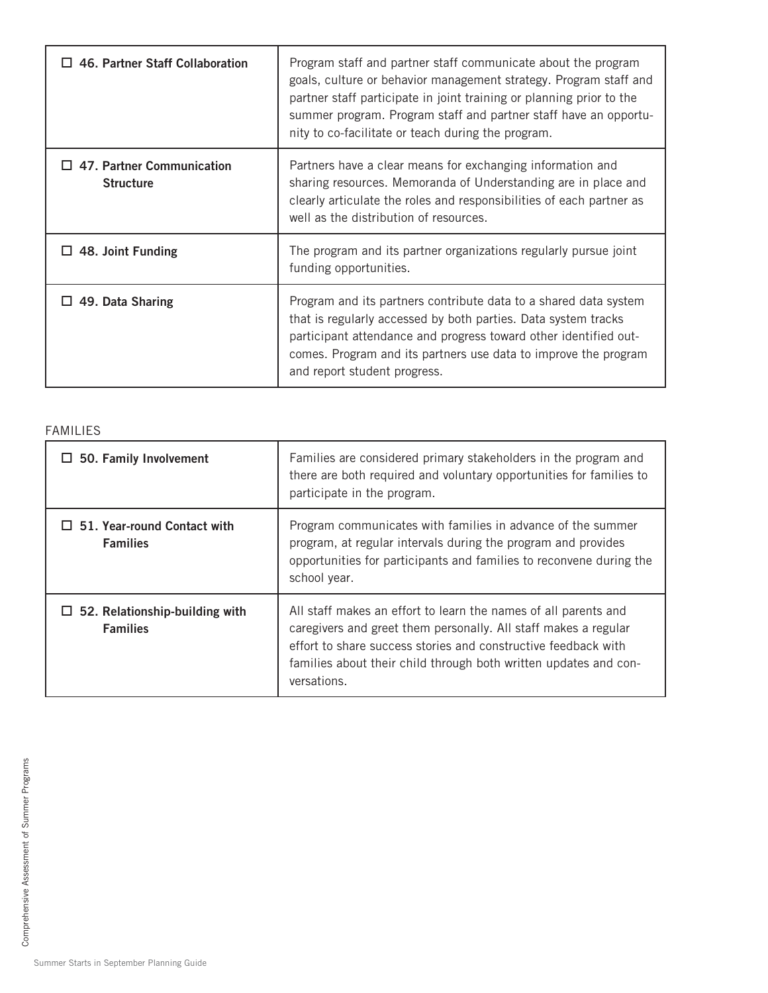| 46. Partner Staff Collaboration                      | Program staff and partner staff communicate about the program<br>goals, culture or behavior management strategy. Program staff and<br>partner staff participate in joint training or planning prior to the<br>summer program. Program staff and partner staff have an opportu-<br>nity to co-facilitate or teach during the program. |
|------------------------------------------------------|--------------------------------------------------------------------------------------------------------------------------------------------------------------------------------------------------------------------------------------------------------------------------------------------------------------------------------------|
| $\Box$ 47. Partner Communication<br><b>Structure</b> | Partners have a clear means for exchanging information and<br>sharing resources. Memoranda of Understanding are in place and<br>clearly articulate the roles and responsibilities of each partner as<br>well as the distribution of resources.                                                                                       |
| $\Box$ 48. Joint Funding                             | The program and its partner organizations regularly pursue joint<br>funding opportunities.                                                                                                                                                                                                                                           |
| 49. Data Sharing                                     | Program and its partners contribute data to a shared data system<br>that is regularly accessed by both parties. Data system tracks<br>participant attendance and progress toward other identified out-<br>comes. Program and its partners use data to improve the program<br>and report student progress.                            |

# FAMILIES

| $\Box$ 50. Family Involvement                            | Families are considered primary stakeholders in the program and<br>there are both required and voluntary opportunities for families to<br>participate in the program.                                                                                                                   |
|----------------------------------------------------------|-----------------------------------------------------------------------------------------------------------------------------------------------------------------------------------------------------------------------------------------------------------------------------------------|
| $\Box$ 51. Year-round Contact with<br><b>Families</b>    | Program communicates with families in advance of the summer<br>program, at regular intervals during the program and provides<br>opportunities for participants and families to reconvene during the<br>school year.                                                                     |
| $\Box$ 52. Relationship-building with<br><b>Families</b> | All staff makes an effort to learn the names of all parents and<br>caregivers and greet them personally. All staff makes a regular<br>effort to share success stories and constructive feedback with<br>families about their child through both written updates and con-<br>versations. |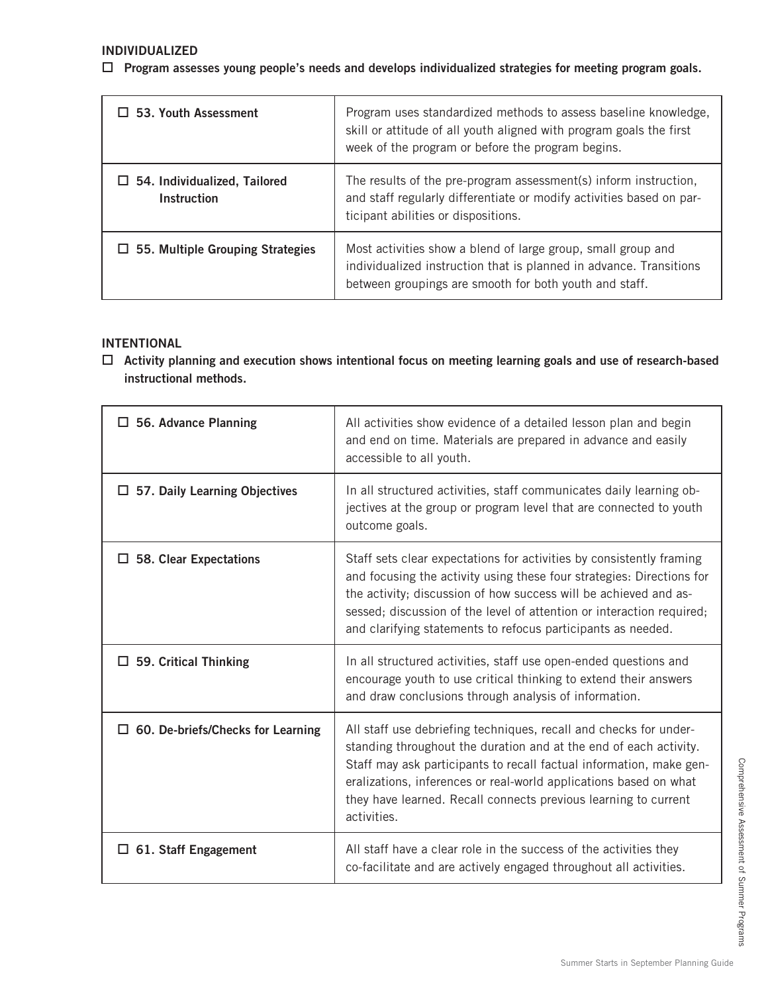## □ Program assesses young people's needs and develops individualized strategies for meeting program goals.

| $\Box$ 53. Youth Assessment                        | Program uses standardized methods to assess baseline knowledge,<br>skill or attitude of all youth aligned with program goals the first<br>week of the program or before the program begins.  |
|----------------------------------------------------|----------------------------------------------------------------------------------------------------------------------------------------------------------------------------------------------|
| $\Box$ 54. Individualized, Tailored<br>Instruction | The results of the pre-program assessment(s) inform instruction,<br>and staff regularly differentiate or modify activities based on par-<br>ticipant abilities or dispositions.              |
| $\Box$ 55. Multiple Grouping Strategies            | Most activities show a blend of large group, small group and<br>individualized instruction that is planned in advance. Transitions<br>between groupings are smooth for both youth and staff. |

### **INTENTIONAL**

□ Activity planning and execution shows intentional focus on meeting learning goals and use of research-based  **instructional methods.** 

| $\Box$ 56. Advance Planning              | All activities show evidence of a detailed lesson plan and begin<br>and end on time. Materials are prepared in advance and easily<br>accessible to all youth.                                                                                                                                                                                                        |
|------------------------------------------|----------------------------------------------------------------------------------------------------------------------------------------------------------------------------------------------------------------------------------------------------------------------------------------------------------------------------------------------------------------------|
| $\Box$ 57. Daily Learning Objectives     | In all structured activities, staff communicates daily learning ob-<br>jectives at the group or program level that are connected to youth<br>outcome goals.                                                                                                                                                                                                          |
| $\square$ 58. Clear Expectations         | Staff sets clear expectations for activities by consistently framing<br>and focusing the activity using these four strategies: Directions for<br>the activity; discussion of how success will be achieved and as-<br>sessed; discussion of the level of attention or interaction required;<br>and clarifying statements to refocus participants as needed.           |
| $\Box$ 59. Critical Thinking             | In all structured activities, staff use open-ended questions and<br>encourage youth to use critical thinking to extend their answers<br>and draw conclusions through analysis of information.                                                                                                                                                                        |
| $\Box$ 60. De-briefs/Checks for Learning | All staff use debriefing techniques, recall and checks for under-<br>standing throughout the duration and at the end of each activity.<br>Staff may ask participants to recall factual information, make gen-<br>eralizations, inferences or real-world applications based on what<br>they have learned. Recall connects previous learning to current<br>activities. |
| $\Box$ 61. Staff Engagement              | All staff have a clear role in the success of the activities they<br>co-facilitate and are actively engaged throughout all activities.                                                                                                                                                                                                                               |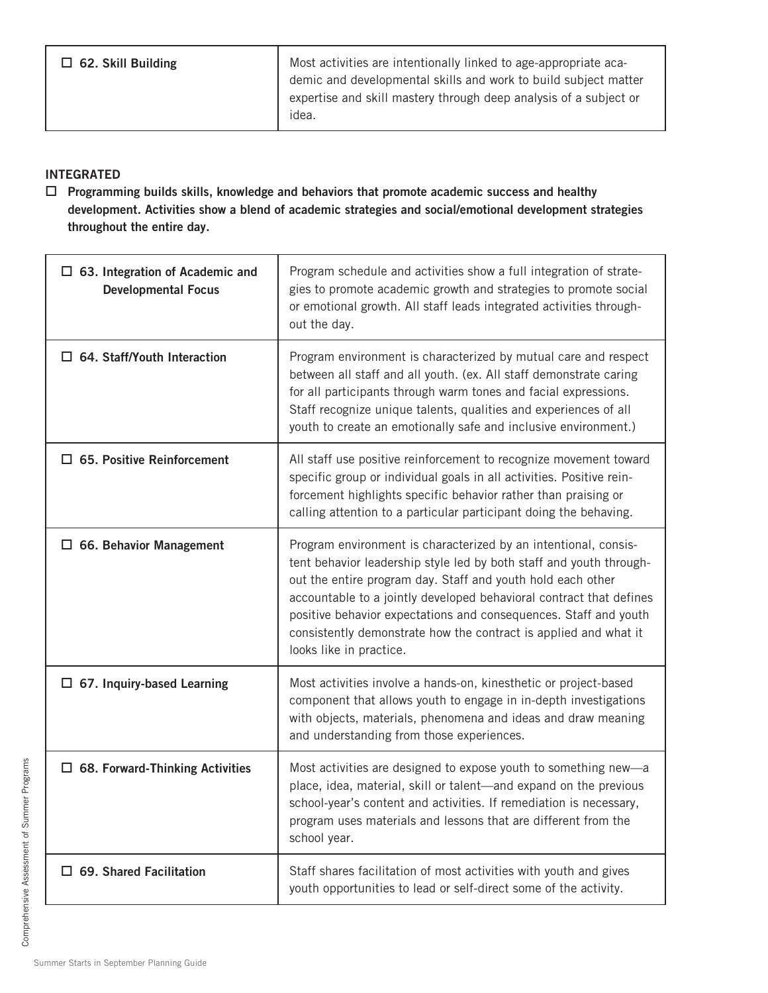Most activities are intentionally linked to age-appropriate academic and developmental skills and work to build subject matter expertise and skill mastery through deep analysis of a subject or idea.

## **INTEGRATED**

□ Programming builds skills, knowledge and behaviors that promote academic success and healthy **development. Activities show a blend of academic strategies and social/emotional development strategies throughout the entire day.**

| $\Box$ 63. Integration of Academic and<br><b>Developmental Focus</b> | Program schedule and activities show a full integration of strate-<br>gies to promote academic growth and strategies to promote social<br>or emotional growth. All staff leads integrated activities through-<br>out the day.                                                                                                                                                                                                                   |
|----------------------------------------------------------------------|-------------------------------------------------------------------------------------------------------------------------------------------------------------------------------------------------------------------------------------------------------------------------------------------------------------------------------------------------------------------------------------------------------------------------------------------------|
| $\Box$ 64. Staff/Youth Interaction                                   | Program environment is characterized by mutual care and respect<br>between all staff and all youth. (ex. All staff demonstrate caring<br>for all participants through warm tones and facial expressions.<br>Staff recognize unique talents, qualities and experiences of all<br>youth to create an emotionally safe and inclusive environment.)                                                                                                 |
| $\Box$ 65. Positive Reinforcement                                    | All staff use positive reinforcement to recognize movement toward<br>specific group or individual goals in all activities. Positive rein-<br>forcement highlights specific behavior rather than praising or<br>calling attention to a particular participant doing the behaving.                                                                                                                                                                |
| $\Box$ 66. Behavior Management                                       | Program environment is characterized by an intentional, consis-<br>tent behavior leadership style led by both staff and youth through-<br>out the entire program day. Staff and youth hold each other<br>accountable to a jointly developed behavioral contract that defines<br>positive behavior expectations and consequences. Staff and youth<br>consistently demonstrate how the contract is applied and what it<br>looks like in practice. |
| $\Box$ 67. Inquiry-based Learning                                    | Most activities involve a hands-on, kinesthetic or project-based<br>component that allows youth to engage in in-depth investigations<br>with objects, materials, phenomena and ideas and draw meaning<br>and understanding from those experiences.                                                                                                                                                                                              |
| $\Box$ 68. Forward-Thinking Activities                               | Most activities are designed to expose youth to something new-a<br>place, idea, material, skill or talent-and expand on the previous<br>school-year's content and activities. If remediation is necessary,<br>program uses materials and lessons that are different from the<br>school year.                                                                                                                                                    |
| $\Box$ 69. Shared Facilitation                                       | Staff shares facilitation of most activities with youth and gives<br>youth opportunities to lead or self-direct some of the activity.                                                                                                                                                                                                                                                                                                           |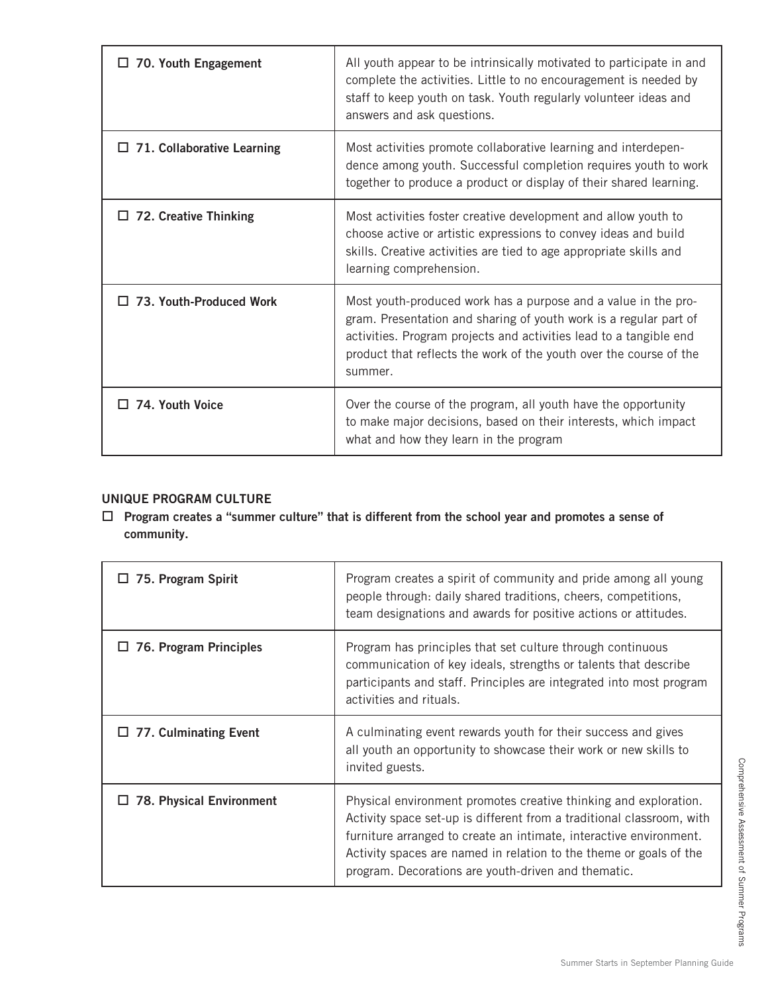| 70. Youth Engagement              | All youth appear to be intrinsically motivated to participate in and<br>complete the activities. Little to no encouragement is needed by<br>staff to keep youth on task. Youth regularly volunteer ideas and<br>answers and ask questions.                                                 |
|-----------------------------------|--------------------------------------------------------------------------------------------------------------------------------------------------------------------------------------------------------------------------------------------------------------------------------------------|
| $\Box$ 71. Collaborative Learning | Most activities promote collaborative learning and interdepen-<br>dence among youth. Successful completion requires youth to work<br>together to produce a product or display of their shared learning.                                                                                    |
| $\Box$ 72. Creative Thinking      | Most activities foster creative development and allow youth to<br>choose active or artistic expressions to convey ideas and build<br>skills. Creative activities are tied to age appropriate skills and<br>learning comprehension.                                                         |
| $\Box$ 73. Youth-Produced Work    | Most youth-produced work has a purpose and a value in the pro-<br>gram. Presentation and sharing of youth work is a regular part of<br>activities. Program projects and activities lead to a tangible end<br>product that reflects the work of the youth over the course of the<br>summer. |
| $\Box$ 74. Youth Voice            | Over the course of the program, all youth have the opportunity<br>to make major decisions, based on their interests, which impact<br>what and how they learn in the program                                                                                                                |

# **UNIQUE PROGRAM CULTURE**

□ Program creates a "summer culture" that is different from the school year and promotes a sense of  **community.** 

| 75. Program Spirit              | Program creates a spirit of community and pride among all young<br>people through: daily shared traditions, cheers, competitions,<br>team designations and awards for positive actions or attitudes.                                                                                                                                         |
|---------------------------------|----------------------------------------------------------------------------------------------------------------------------------------------------------------------------------------------------------------------------------------------------------------------------------------------------------------------------------------------|
| 76. Program Principles          | Program has principles that set culture through continuous<br>communication of key ideals, strengths or talents that describe<br>participants and staff. Principles are integrated into most program<br>activities and rituals.                                                                                                              |
| $\Box$ 77. Culminating Event    | A culminating event rewards youth for their success and gives<br>all youth an opportunity to showcase their work or new skills to<br>invited guests.                                                                                                                                                                                         |
| <b>78. Physical Environment</b> | Physical environment promotes creative thinking and exploration.<br>Activity space set-up is different from a traditional classroom, with<br>furniture arranged to create an intimate, interactive environment.<br>Activity spaces are named in relation to the theme or goals of the<br>program. Decorations are youth-driven and thematic. |